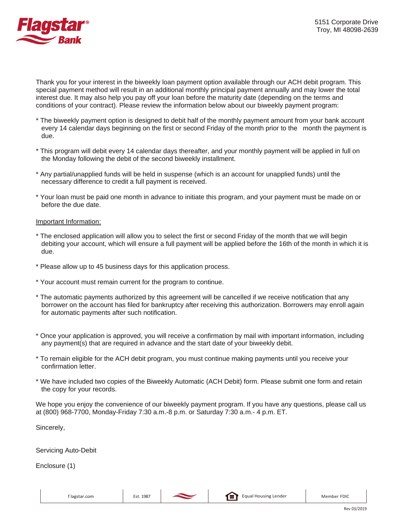

Thank you for your interest in the biweekly loan payment option available through our ACH debit program. This special payment method will result in an additional monthly principal payment annually and may lower the total interest due. It may also help you pay off your loan before the maturity date (depending on the terms and conditions of your contract). Please review the information below about our biweekly payment program:

- \* The biweekly payment option is designed to debit half of the monthly payment amount from your bank account every 14 calendar days beginning on the first or second Friday of the month prior to the month the payment is due.
- \* This program will debit every 14 calendar days thereafter, and your monthly payment will be applied in full on the Monday following the debit of the second biweekly installment.
- \* Any partial/unapplied funds will be held in suspense (which is an account for unapplied funds) until the necessary difference to credit a full payment is received.
- \* Your loan must be paid one month in advance to initiate this program, and your payment must be made on or before the due date.

## Important Information:

- \* The enclosed application will allow you to select the first or second Friday of the month that we will begin debiting your account, which will ensure a full payment will be applied before the 16th of the month in which it is due.
- \* Please allow up to 45 business days for this application process.
- \* Your account must remain current for the program to continue.
- \* The automatic payments authorized by this agreement will be cancelled if we receive notification that any borrower on the account has filed for bankruptcy after receiving this authorization. Borrowers may enroll again for automatic payments after such notification.
- \* Once your application is approved, you will receive a confirmation by mail with important information, including any payment(s) that are required in advance and the start date of your biweekly debit.
- \* To remain eligible for the ACH debit program, you must continue making payments until you receive your confirmation letter.
- \* We have included two copies of the Biweekly Automatic (ACH Debit) form. Please submit one form and retain the copy for your records.

We hope you enjoy the convenience of our biweekly payment program. If you have any questions, please call us at (800) 968-7700, Monday-Friday 7:30 a.m.-8 p.m. or Saturday 7:30 a.m.- 4 p.m. ET.

Sincerely,

Servicing Auto-Debit

Enclosure (1)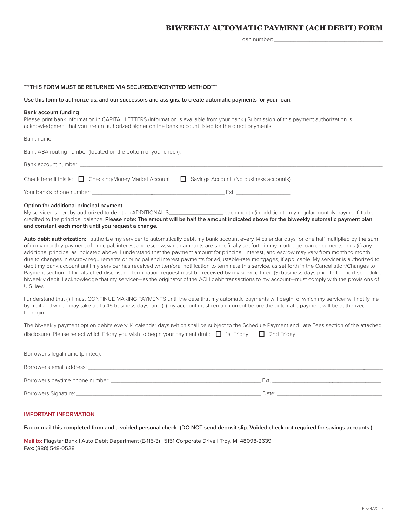## **BIWEEKLY AUTOMATIC PAYMENT (ACH DEBIT) FORM**

Loan number:

## **\*\*\*THIS FORM MUST BE RETURNED VIA SECURED/ENCRYPTED METHOD\*\*\***

#### **Use this form to authorize us, and our successors and assigns, to create automatic payments for your loan.**

## **Bank account funding**

Please print bank information in CAPITAL LETTERS (Information is available from your bank.) Submission of this payment authorization is acknowledgment that you are an authorized signer on the bank account listed for the direct payments.

| Bank name: The contract of the contract of the contract of the contract of the contract of the contract of the                                                                                                                                                                                                                                                                                                                                                                                                                                                                                                                                                                                                                                                                                                                                                                                                                                                                                                                                                                                   |  |
|--------------------------------------------------------------------------------------------------------------------------------------------------------------------------------------------------------------------------------------------------------------------------------------------------------------------------------------------------------------------------------------------------------------------------------------------------------------------------------------------------------------------------------------------------------------------------------------------------------------------------------------------------------------------------------------------------------------------------------------------------------------------------------------------------------------------------------------------------------------------------------------------------------------------------------------------------------------------------------------------------------------------------------------------------------------------------------------------------|--|
|                                                                                                                                                                                                                                                                                                                                                                                                                                                                                                                                                                                                                                                                                                                                                                                                                                                                                                                                                                                                                                                                                                  |  |
| Bank account number: experience and a series of the series of the series of the series of the series of the series of the series of the series of the series of the series of the series of the series of the series of the se                                                                                                                                                                                                                                                                                                                                                                                                                                                                                                                                                                                                                                                                                                                                                                                                                                                                   |  |
| Check here if this is: $\Box$ Checking/Money Market Account $\Box$ Savings Account (No business accounts)                                                                                                                                                                                                                                                                                                                                                                                                                                                                                                                                                                                                                                                                                                                                                                                                                                                                                                                                                                                        |  |
|                                                                                                                                                                                                                                                                                                                                                                                                                                                                                                                                                                                                                                                                                                                                                                                                                                                                                                                                                                                                                                                                                                  |  |
| Option for additional principal payment<br>My servicer is hereby authorized to debit an ADDITIONAL \$_______________________each month (in addition to my regular monthly payment) to be<br>credited to the principal balance. Please note: The amount will be half the amount indicated above for the biweekly automatic payment plan<br>and constant each month until you request a change.                                                                                                                                                                                                                                                                                                                                                                                                                                                                                                                                                                                                                                                                                                    |  |
| Auto debit authorization: I authorize my servicer to automatically debit my bank account every 14 calendar days for one half multiplied by the sum<br>of (i) my monthly payment of principal, interest and escrow, which amounts are specifically set forth in my mortgage loan documents, plus (ii) any<br>additional principal as indicated above. I understand that the payment amount for principal, interest, and escrow may vary from month to month<br>due to changes in escrow requirements or principal and interest payments for adjustable-rate mortgages, if applicable. My servicer is authorized to<br>debit my bank account until my servicer has received written/oral notification to terminate this service, as set forth in the Cancellation/Changes to<br>Payment section of the attached disclosure. Termination request must be received by my service three (3) business days prior to the next scheduled<br>biweekly debit. I acknowledge that my servicer—as the originator of the ACH debit transactions to my account—must comply with the provisions of<br>U.S. law. |  |
| I understand that (i) I must CONTINUE MAKING PAYMENTS until the date that my automatic payments will begin, of which my servicer will notify me<br>by mail and which may take up to 45 business days, and (ii) my account must remain current before the automatic payment will be authorized<br>to begin.                                                                                                                                                                                                                                                                                                                                                                                                                                                                                                                                                                                                                                                                                                                                                                                       |  |
| The biweekly payment option debits every 14 calendar days (which shall be subject to the Schedule Payment and Late Fees section of the attached                                                                                                                                                                                                                                                                                                                                                                                                                                                                                                                                                                                                                                                                                                                                                                                                                                                                                                                                                  |  |
| disclosure). Please select which Friday you wish to begin your payment draft: $\Box$ 1st Friday $\Box$ 2nd Friday                                                                                                                                                                                                                                                                                                                                                                                                                                                                                                                                                                                                                                                                                                                                                                                                                                                                                                                                                                                |  |
|                                                                                                                                                                                                                                                                                                                                                                                                                                                                                                                                                                                                                                                                                                                                                                                                                                                                                                                                                                                                                                                                                                  |  |
| Borrower's email address: Note that the set of the set of the set of the set of the set of the set of the set of the set of the set of the set of the set of the set of the set of the set of the set of the set of the set of                                                                                                                                                                                                                                                                                                                                                                                                                                                                                                                                                                                                                                                                                                                                                                                                                                                                   |  |
|                                                                                                                                                                                                                                                                                                                                                                                                                                                                                                                                                                                                                                                                                                                                                                                                                                                                                                                                                                                                                                                                                                  |  |
|                                                                                                                                                                                                                                                                                                                                                                                                                                                                                                                                                                                                                                                                                                                                                                                                                                                                                                                                                                                                                                                                                                  |  |

## **IMPORTANT INFORMATION**

## **Fax or mail this completed form and a voided personal check. (DO NOT send deposit slip. Voided check not required for savings accounts.)**

**Mail to:** Flagstar Bank | Auto Debit Department (E-115-3) | 5151 Corporate Drive | Troy, MI 48098-2639 **Fax:** (888) 548-0528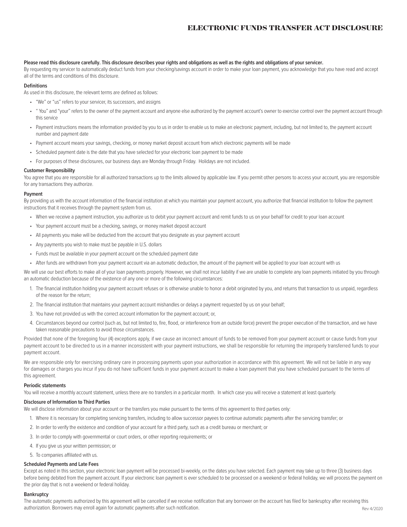## **ELECTRONIC FUNDS TRANSFER ACT DISCLOSURE**

## **Please read this disclosure carefully. This disclosure describes your rights and obligations as well as the rights and obligations of your servicer.**

By requesting my servicer to automatically deduct funds from your checking/savings account in order to make your loan payment, you acknowledge that you have read and accept all of the terms and conditions of this disclosure.

#### **Definitions**

As used in this disclosure, the relevant terms are defined as follows:

- "We" or "us" refers to your servicer, its successors, and assigns
- " You" and "your" refers to the owner of the payment account and anyone else authorized by the payment account's owner to exercise control over the payment account through this service
- Payment instructions means the information provided by you to us in order to enable us to make an electronic payment, including, but not limited to, the payment account number and payment date
- Payment account means your savings, checking, or money market deposit account from which electronic payments will be made
- Scheduled payment date is the date that you have selected for your electronic loan payment to be made
- For purposes of these disclosures, our business days are Monday through Friday. Holidays are not included.

## **Customer Responsibility**

You agree that you are responsible for all authorized transactions up to the limits allowed by applicable law. If you permit other persons to access your account, you are responsible for any transactions they authorize.

#### **Payment**

By providing us with the account information of the financial institution at which you maintain your payment account, you authorize that financial institution to follow the payment instructions that it receives through the payment system from us.

- When we receive a payment instruction, you authorize us to debit your payment account and remit funds to us on your behalf for credit to your loan account
- Your payment account must be a checking, savings, or money market deposit account
- All payments you make will be deducted from the account that you designate as your payment account
- Any payments you wish to make must be payable in U.S. dollars
- Funds must be available in your payment account on the scheduled payment date
- After funds are withdrawn from your payment account via an automatic deduction, the amount of the payment will be applied to your loan account with us

We will use our best efforts to make all of your loan payments properly. However, we shall not incur liability if we are unable to complete any loan payments initiated by you through an automatic deduction because of the existence of any one or more of the following circumstances:

- 1. The financial institution holding your payment account refuses or is otherwise unable to honor a debit originated by you, and returns that transaction to us unpaid, regardless of the reason for the return;
- 2. The financial institution that maintains your payment account mishandles or delays a payment requested by us on your behalf;
- 3. You have not provided us with the correct account information for the payment account; or,
- 4. Circumstances beyond our control (such as, but not limited to, fire, flood, or interference from an outside force) prevent the proper execution of the transaction, and we have taken reasonable precautions to avoid those circumstances.

Provided that none of the foregoing four (4) exceptions apply, if we cause an incorrect amount of funds to be removed from your payment account or cause funds from your payment account to be directed to us in a manner inconsistent with your payment instructions, we shall be responsible for returning the improperly transferred funds to your payment account.

We are responsible only for exercising ordinary care in processing payments upon your authorization in accordance with this agreement. We will not be liable in any way for damages or charges you incur if you do not have sufficient funds in your payment account to make a loan payment that you have scheduled pursuant to the terms of this agreement.

#### **Periodic statements**

You will receive a monthly account statement, unless there are no transfers in a particular month. In which case you will receive a statement at least quarterly.

#### **Disclosure of Information to Third Parties**

We will disclose information about your account or the transfers you make pursuant to the terms of this agreement to third parties only:

- 1. Where it is necessary for completing servicing transfers, including to allow successor payees to continue automatic payments after the servicing transfer; or
- 2. In order to verify the existence and condition of your account for a third party, such as a credit bureau or merchant; or
- 3. In order to comply with governmental or court orders, or other reporting requirements; or
- 4. If you give us your written permission; or
- 5. To companies affiliated with us.

## **Scheduled Payments and Late Fees**

Except as noted in this section, your electronic loan payment will be processed bi-weekly, on the dates you have selected. Each payment may take up to three (3) business days before being debited from the payment account. If your electronic loan payment is ever scheduled to be processed on a weekend or federal holiday, we will process the payment on the prior day that is not a weekend or federal holiday.

## **Bankruptcy**

Rev 4/2020 The automatic payments authorized by this agreement will be cancelled if we receive notification that any borrower on the account has filed for bankruptcy after receiving this authorization. Borrowers may enroll again for automatic payments after such notification.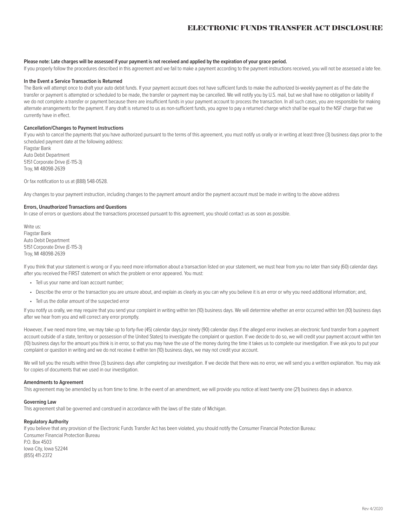## **ELECTRONIC FUNDS TRANSFER ACT DISCLOSURE**

## **Please note: Late charges will be assessed if your payment is not received and applied by the expiration of your grace period.**

If you properly follow the procedures described in this agreement and we fail to make a payment according to the payment instructions received, you will not be assessed a late fee.

## **In the Event a Service Transaction is Returned**

The Bank will attempt once to draft your auto debit funds. If your payment account does not have sufficient funds to make the authorized bi-weekly payment as of the date the transfer or payment is attempted or scheduled to be made, the transfer or payment may be cancelled. We will notify you by U.S. mail, but we shall have no obligation or liability if we do not complete a transfer or payment because there are insufficient funds in your payment account to process the transaction. In all such cases, you are responsible for making alternate arrangements for the payment. If any draft is returned to us as non-sufficient funds, you agree to pay a returned charge which shall be equal to the NSF charge that we currently have in effect.

## **Cancellation/Changes to Payment Instructions**

If you wish to cancel the payments that you have authorized pursuant to the terms of this agreement, you must notify us orally or in writing at least three (3) business days prior to the scheduled payment date at the following address:

Flagstar Bank Auto Debit Department 5151 Corporate Drive (E-115-3) Troy, MI 48098-2639

Or fax notification to us at (888) 548-0528.

Any changes to your payment instruction, including changes to the payment amount and/or the payment account must be made in writing to the above address

## **Errors, Unauthorized Transactions and Questions**

In case of errors or questions about the transactions processed pursuant to this agreement, you should contact us as soon as possible.

Write us: Flagstar Bank Auto Debit Department 5151 Corporate Drive (E-115-3) Troy, MI 48098-2639

If you think that your statement is wrong or if you need more information about a transaction listed on your statement, we must hear from you no later than sixty (60) calendar days after you received the FIRST statement on which the problem or error appeared. You must:

- Tell us your name and loan account number;
- Describe the error or the transaction you are unsure about, and explain as clearly as you can why you believe it is an error or why you need additional information; and,
- Tell us the dollar amount of the suspected error

If you notify us orally, we may require that you send your complaint in writing within ten (10) business days. We will determine whether an error occurred within ten (10) business days after we hear from you and will correct any error promptly.

However, if we need more time, we may take up to forty-five (45) calendar days,(or ninety (90) calendar days if the alleged error involves an electronic fund transfer from a payment account outside of a state, territory or possession of the United States) to investigate the complaint or question. If we decide to do so, we will credit your payment account within ten (10) business days for the amount you think is in error, so that you may have the use of the money during the time it takes us to complete our investigation. If we ask you to put your complaint or question in writing and we do not receive it within ten (10) business days, we may not credit your account.

We will tell you the results within three (3) business days after completing our investigation. If we decide that there was no error, we will send you a written explanation. You may ask for copies of documents that we used in our investigation.

## **Amendments to Agreement**

This agreement may be amended by us from time to time. In the event of an amendment, we will provide you notice at least twenty one (21) business days in advance.

## **Governing Law**

This agreement shall be governed and construed in accordance with the laws of the state of Michigan.

## **Regulatory Authority**

If you believe that any provision of the Electronic Funds Transfer Act has been violated, you should notify the Consumer Financial Protection Bureau: Consumer Financial Protection Bureau P.O. Box 4503 Iowa City, Iowa 52244 (855) 411-2372